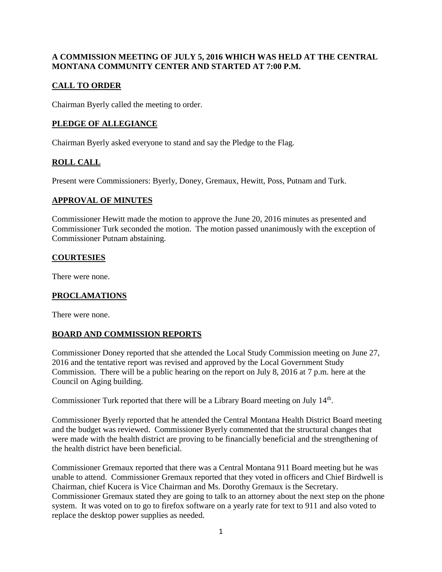# **A COMMISSION MEETING OF JULY 5, 2016 WHICH WAS HELD AT THE CENTRAL MONTANA COMMUNITY CENTER AND STARTED AT 7:00 P.M.**

# **CALL TO ORDER**

Chairman Byerly called the meeting to order.

## **PLEDGE OF ALLEGIANCE**

Chairman Byerly asked everyone to stand and say the Pledge to the Flag.

# **ROLL CALL**

Present were Commissioners: Byerly, Doney, Gremaux, Hewitt, Poss, Putnam and Turk.

## **APPROVAL OF MINUTES**

Commissioner Hewitt made the motion to approve the June 20, 2016 minutes as presented and Commissioner Turk seconded the motion. The motion passed unanimously with the exception of Commissioner Putnam abstaining.

## **COURTESIES**

There were none.

## **PROCLAMATIONS**

There were none.

## **BOARD AND COMMISSION REPORTS**

Commissioner Doney reported that she attended the Local Study Commission meeting on June 27, 2016 and the tentative report was revised and approved by the Local Government Study Commission. There will be a public hearing on the report on July 8, 2016 at 7 p.m. here at the Council on Aging building.

Commissioner Turk reported that there will be a Library Board meeting on July 14<sup>th</sup>.

Commissioner Byerly reported that he attended the Central Montana Health District Board meeting and the budget was reviewed. Commissioner Byerly commented that the structural changes that were made with the health district are proving to be financially beneficial and the strengthening of the health district have been beneficial.

Commissioner Gremaux reported that there was a Central Montana 911 Board meeting but he was unable to attend. Commissioner Gremaux reported that they voted in officers and Chief Birdwell is Chairman, chief Kucera is Vice Chairman and Ms. Dorothy Gremaux is the Secretary. Commissioner Gremaux stated they are going to talk to an attorney about the next step on the phone system. It was voted on to go to firefox software on a yearly rate for text to 911 and also voted to replace the desktop power supplies as needed.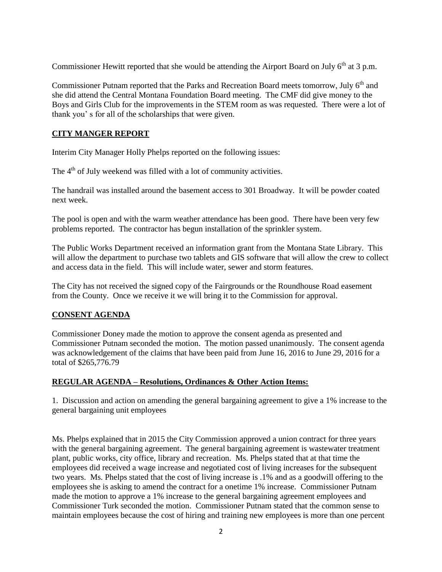Commissioner Hewitt reported that she would be attending the Airport Board on July 6<sup>th</sup> at 3 p.m.

Commissioner Putnam reported that the Parks and Recreation Board meets tomorrow, July 6<sup>th</sup> and she did attend the Central Montana Foundation Board meeting. The CMF did give money to the Boys and Girls Club for the improvements in the STEM room as was requested. There were a lot of thank you' s for all of the scholarships that were given.

# **CITY MANGER REPORT**

Interim City Manager Holly Phelps reported on the following issues:

The 4<sup>th</sup> of July weekend was filled with a lot of community activities.

The handrail was installed around the basement access to 301 Broadway. It will be powder coated next week.

The pool is open and with the warm weather attendance has been good. There have been very few problems reported. The contractor has begun installation of the sprinkler system.

The Public Works Department received an information grant from the Montana State Library. This will allow the department to purchase two tablets and GIS software that will allow the crew to collect and access data in the field. This will include water, sewer and storm features.

The City has not received the signed copy of the Fairgrounds or the Roundhouse Road easement from the County. Once we receive it we will bring it to the Commission for approval.

# **CONSENT AGENDA**

Commissioner Doney made the motion to approve the consent agenda as presented and Commissioner Putnam seconded the motion. The motion passed unanimously. The consent agenda was acknowledgement of the claims that have been paid from June 16, 2016 to June 29, 2016 for a total of \$265,776.79

## **REGULAR AGENDA – Resolutions, Ordinances & Other Action Items:**

1. Discussion and action on amending the general bargaining agreement to give a 1% increase to the general bargaining unit employees

Ms. Phelps explained that in 2015 the City Commission approved a union contract for three years with the general bargaining agreement. The general bargaining agreement is wastewater treatment plant, public works, city office, library and recreation. Ms. Phelps stated that at that time the employees did received a wage increase and negotiated cost of living increases for the subsequent two years. Ms. Phelps stated that the cost of living increase is .1% and as a goodwill offering to the employees she is asking to amend the contract for a onetime 1% increase. Commissioner Putnam made the motion to approve a 1% increase to the general bargaining agreement employees and Commissioner Turk seconded the motion. Commissioner Putnam stated that the common sense to maintain employees because the cost of hiring and training new employees is more than one percent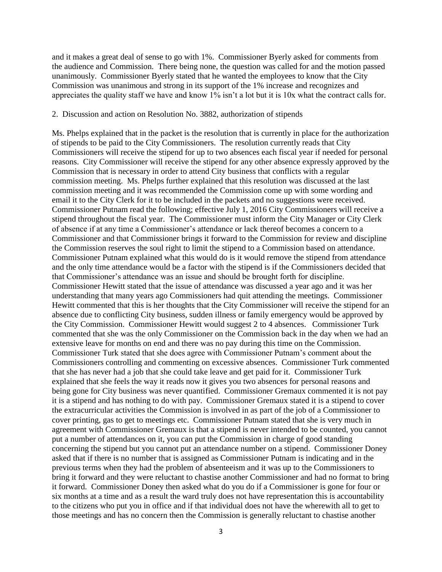and it makes a great deal of sense to go with 1%. Commissioner Byerly asked for comments from the audience and Commission. There being none, the question was called for and the motion passed unanimously. Commissioner Byerly stated that he wanted the employees to know that the City Commission was unanimous and strong in its support of the 1% increase and recognizes and appreciates the quality staff we have and know 1% isn't a lot but it is 10x what the contract calls for.

#### 2. Discussion and action on Resolution No. 3882, authorization of stipends

Ms. Phelps explained that in the packet is the resolution that is currently in place for the authorization of stipends to be paid to the City Commissioners. The resolution currently reads that City Commissioners will receive the stipend for up to two absences each fiscal year if needed for personal reasons. City Commissioner will receive the stipend for any other absence expressly approved by the Commission that is necessary in order to attend City business that conflicts with a regular commission meeting. Ms. Phelps further explained that this resolution was discussed at the last commission meeting and it was recommended the Commission come up with some wording and email it to the City Clerk for it to be included in the packets and no suggestions were received. Commissioner Putnam read the following; effective July 1, 2016 City Commissioners will receive a stipend throughout the fiscal year. The Commissioner must inform the City Manager or City Clerk of absence if at any time a Commissioner's attendance or lack thereof becomes a concern to a Commissioner and that Commissioner brings it forward to the Commission for review and discipline the Commission reserves the soul right to limit the stipend to a Commission based on attendance. Commissioner Putnam explained what this would do is it would remove the stipend from attendance and the only time attendance would be a factor with the stipend is if the Commissioners decided that that Commissioner's attendance was an issue and should be brought forth for discipline. Commissioner Hewitt stated that the issue of attendance was discussed a year ago and it was her understanding that many years ago Commissioners had quit attending the meetings. Commissioner Hewitt commented that this is her thoughts that the City Commissioner will receive the stipend for an absence due to conflicting City business, sudden illness or family emergency would be approved by the City Commission. Commissioner Hewitt would suggest 2 to 4 absences. Commissioner Turk commented that she was the only Commissioner on the Commission back in the day when we had an extensive leave for months on end and there was no pay during this time on the Commission. Commissioner Turk stated that she does agree with Commissioner Putnam's comment about the Commissioners controlling and commenting on excessive absences. Commissioner Turk commented that she has never had a job that she could take leave and get paid for it. Commissioner Turk explained that she feels the way it reads now it gives you two absences for personal reasons and being gone for City business was never quantified. Commissioner Gremaux commented it is not pay it is a stipend and has nothing to do with pay. Commissioner Gremaux stated it is a stipend to cover the extracurricular activities the Commission is involved in as part of the job of a Commissioner to cover printing, gas to get to meetings etc. Commissioner Putnam stated that she is very much in agreement with Commissioner Gremaux is that a stipend is never intended to be counted, you cannot put a number of attendances on it, you can put the Commission in charge of good standing concerning the stipend but you cannot put an attendance number on a stipend. Commissioner Doney asked that if there is no number that is assigned as Commissioner Putnam is indicating and in the previous terms when they had the problem of absenteeism and it was up to the Commissioners to bring it forward and they were reluctant to chastise another Commissioner and had no format to bring it forward. Commissioner Doney then asked what do you do if a Commissioner is gone for four or six months at a time and as a result the ward truly does not have representation this is accountability to the citizens who put you in office and if that individual does not have the wherewith all to get to those meetings and has no concern then the Commission is generally reluctant to chastise another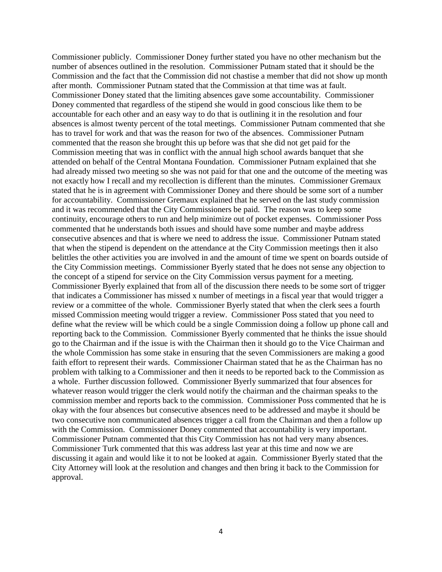Commissioner publicly. Commissioner Doney further stated you have no other mechanism but the number of absences outlined in the resolution. Commissioner Putnam stated that it should be the Commission and the fact that the Commission did not chastise a member that did not show up month after month. Commissioner Putnam stated that the Commission at that time was at fault. Commissioner Doney stated that the limiting absences gave some accountability. Commissioner Doney commented that regardless of the stipend she would in good conscious like them to be accountable for each other and an easy way to do that is outlining it in the resolution and four absences is almost twenty percent of the total meetings. Commissioner Putnam commented that she has to travel for work and that was the reason for two of the absences. Commissioner Putnam commented that the reason she brought this up before was that she did not get paid for the Commission meeting that was in conflict with the annual high school awards banquet that she attended on behalf of the Central Montana Foundation. Commissioner Putnam explained that she had already missed two meeting so she was not paid for that one and the outcome of the meeting was not exactly how I recall and my recollection is different than the minutes. Commissioner Gremaux stated that he is in agreement with Commissioner Doney and there should be some sort of a number for accountability. Commissioner Gremaux explained that he served on the last study commission and it was recommended that the City Commissioners be paid. The reason was to keep some continuity, encourage others to run and help minimize out of pocket expenses. Commissioner Poss commented that he understands both issues and should have some number and maybe address consecutive absences and that is where we need to address the issue. Commissioner Putnam stated that when the stipend is dependent on the attendance at the City Commission meetings then it also belittles the other activities you are involved in and the amount of time we spent on boards outside of the City Commission meetings. Commissioner Byerly stated that he does not sense any objection to the concept of a stipend for service on the City Commission versus payment for a meeting. Commissioner Byerly explained that from all of the discussion there needs to be some sort of trigger that indicates a Commissioner has missed x number of meetings in a fiscal year that would trigger a review or a committee of the whole. Commissioner Byerly stated that when the clerk sees a fourth missed Commission meeting would trigger a review. Commissioner Poss stated that you need to define what the review will be which could be a single Commission doing a follow up phone call and reporting back to the Commission. Commissioner Byerly commented that he thinks the issue should go to the Chairman and if the issue is with the Chairman then it should go to the Vice Chairman and the whole Commission has some stake in ensuring that the seven Commissioners are making a good faith effort to represent their wards. Commissioner Chairman stated that he as the Chairman has no problem with talking to a Commissioner and then it needs to be reported back to the Commission as a whole. Further discussion followed. Commissioner Byerly summarized that four absences for whatever reason would trigger the clerk would notify the chairman and the chairman speaks to the commission member and reports back to the commission. Commissioner Poss commented that he is okay with the four absences but consecutive absences need to be addressed and maybe it should be two consecutive non communicated absences trigger a call from the Chairman and then a follow up with the Commission. Commissioner Doney commented that accountability is very important. Commissioner Putnam commented that this City Commission has not had very many absences. Commissioner Turk commented that this was address last year at this time and now we are discussing it again and would like it to not be looked at again. Commissioner Byerly stated that the City Attorney will look at the resolution and changes and then bring it back to the Commission for approval.